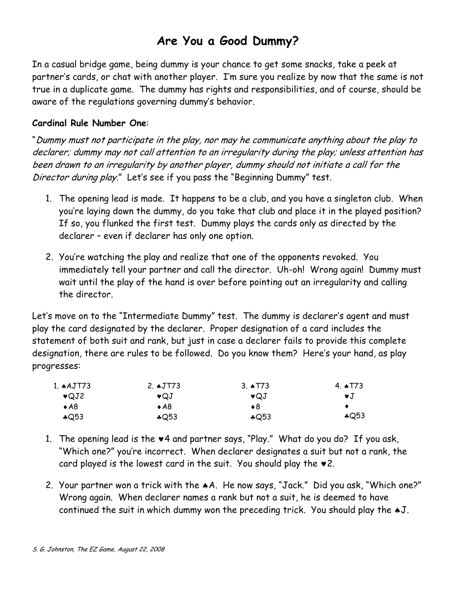# Are You a Good Dummy?

In a casual bridge game, being dummy is your chance to get some snacks, take a peek at partner's cards, or chat with another player. I'm sure you realize by now that the same is not true in a duplicate game. The dummy has rights and responsibilities, and of course, should be aware of the regulations governing dummy's behavior.

# Cardinal Rule Number One:

"Dummy must not participate in the play, nor may he communicate anything about the play to declarer; dummy may not call attention to an irregularity during the play; unless attention has been drawn to an irregularity by another player, dummy should not initiate a call for the Director during play." Let's see if you pass the "Beginning Dummy" test.

- 1. The opening lead is made. It happens to be a club, and you have a singleton club. When you're laying down the dummy, do you take that club and place it in the played position? If so, you flunked the first test. Dummy plays the cards only as directed by the declarer – even if declarer has only one option.
- 2. You're watching the play and realize that one of the opponents revoked. You immediately tell your partner and call the director. Uh-oh! Wrong again! Dummy must wait until the play of the hand is over before pointing out an irregularity and calling the director.

Let's move on to the "Intermediate Dummy" test. The dummy is declarer's agent and must play the card designated by the declarer. Proper designation of a card includes the statement of both suit and rank, but just in case a declarer fails to provide this complete designation, there are rules to be followed. Do you know them? Here's your hand, as play progresses:

| 1. $AJTT3$     | 2. $\triangle$ JT73 | 3. $\triangle$ T73 | 4. T73         |
|----------------|---------------------|--------------------|----------------|
| $\bullet$ QJ2  | $\bullet$ QJ        | $\bullet$ QJ       | $\mathbf{v}$ . |
| $\triangle$ A8 | $\bullet$ A8        | ♦8                 |                |
| $\bigcirc$ 53  | $\bigcirc$ 53       | $*Q53$             | $*Q53$         |

- 1. The opening lead is the ♥4 and partner says, "Play." What do you do? If you ask, "Which one?" you're incorrect. When declarer designates a suit but not a rank, the card played is the lowest card in the suit. You should play the  $*2$ .
- 2. Your partner won a trick with the ♠A. He now says, "Jack." Did you ask, "Which one?" Wrong again. When declarer names a rank but not a suit, he is deemed to have continued the suit in which dummy won the preceding trick. You should play the ♠J.